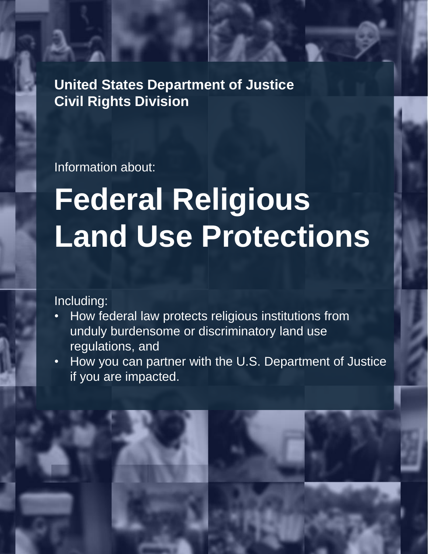**United States Department of Justice Civil Rights Division**

Information about:

# **Federal Religious Land Use Protections**

#### Including:

- How federal law protects religious institutions from unduly burdensome or discriminatory land use regulations, and
- How you can partner with the U.S. Department of Justice if you are impacted.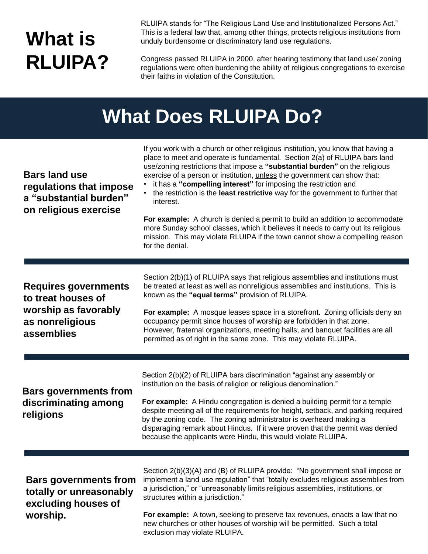## **What is RLUIPA?**

RLUIPA stands for "The Religious Land Use and Institutionalized Persons Act." This is a federal law that, among other things, protects religious institutions from unduly burdensome or discriminatory land use regulations.

Congress passed RLUIPA in 2000, after hearing testimony that land use/ zoning regulations were often burdening the ability of religious congregations to exercise their faiths in violation of the Constitution.

#### **What Does RLUIPA Do?**

| <b>Bars land use</b><br>regulations that impose<br>a "substantial burden"<br>on religious exercise  | If you work with a church or other religious institution, you know that having a<br>place to meet and operate is fundamental. Section 2(a) of RLUIPA bars land<br>use/zoning restrictions that impose a "substantial burden" on the religious<br>exercise of a person or institution, unless the government can show that:<br>it has a "compelling interest" for imposing the restriction and<br>• the restriction is the least restrictive way for the government to further that<br>interest.<br>For example: A church is denied a permit to build an addition to accommodate<br>more Sunday school classes, which it believes it needs to carry out its religious<br>mission. This may violate RLUIPA if the town cannot show a compelling reason<br>for the denial. |
|-----------------------------------------------------------------------------------------------------|-------------------------------------------------------------------------------------------------------------------------------------------------------------------------------------------------------------------------------------------------------------------------------------------------------------------------------------------------------------------------------------------------------------------------------------------------------------------------------------------------------------------------------------------------------------------------------------------------------------------------------------------------------------------------------------------------------------------------------------------------------------------------|
| Requires governments<br>to treat houses of<br>worship as favorably<br>as nonreligious<br>assemblies | Section 2(b)(1) of RLUIPA says that religious assemblies and institutions must<br>be treated at least as well as nonreligious assemblies and institutions. This is<br>known as the "equal terms" provision of RLUIPA.<br>For example: A mosque leases space in a storefront. Zoning officials deny an<br>occupancy permit since houses of worship are forbidden in that zone.<br>However, fraternal organizations, meeting halls, and banquet facilities are all<br>permitted as of right in the same zone. This may violate RLUIPA.                                                                                                                                                                                                                                    |
| <b>Bars governments from</b><br>discriminating among<br>religions                                   | Section 2(b)(2) of RLUIPA bars discrimination "against any assembly or<br>institution on the basis of religion or religious denomination."<br>For example: A Hindu congregation is denied a building permit for a temple<br>despite meeting all of the requirements for height, setback, and parking required<br>by the zoning code. The zoning administrator is overheard making a<br>disparaging remark about Hindus. If it were proven that the permit was denied<br>because the applicants were Hindu, this would violate RLUIPA.                                                                                                                                                                                                                                   |
| <b>Bars governments from</b><br>totally or unreasonably<br>excluding houses of<br>worship.          | Section 2(b)(3)(A) and (B) of RLUIPA provide: "No government shall impose or<br>implement a land use regulation" that "totally excludes religious assemblies from<br>a jurisdiction," or "unreasonably limits religious assemblies, institutions, or<br>structures within a jurisdiction."<br>For example: A town, seeking to preserve tax revenues, enacts a law that no<br>new churches or other houses of worship will be permitted. Such a total<br>exclusion may violate RLUIPA.                                                                                                                                                                                                                                                                                   |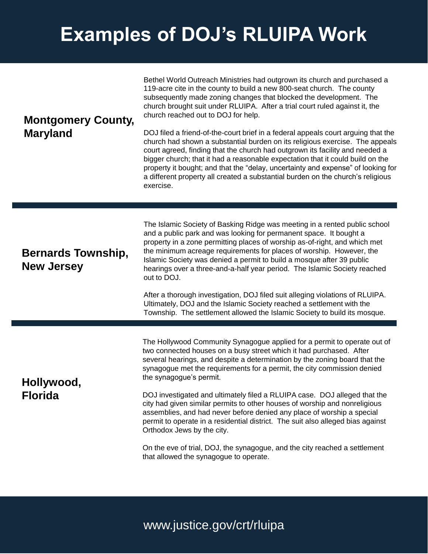## **Examples of DOJ's RLUIPA Work**

| <b>Montgomery County,</b><br><b>Maryland</b>   | Bethel World Outreach Ministries had outgrown its church and purchased a<br>119-acre cite in the county to build a new 800-seat church. The county<br>subsequently made zoning changes that blocked the development. The<br>church brought suit under RLUIPA. After a trial court ruled against it, the<br>church reached out to DOJ for help.<br>DOJ filed a friend-of-the-court brief in a federal appeals court arguing that the<br>church had shown a substantial burden on its religious exercise. The appeals<br>court agreed, finding that the church had outgrown its facility and needed a<br>bigger church; that it had a reasonable expectation that it could build on the<br>property it bought; and that the "delay, uncertainty and expense" of looking for<br>a different property all created a substantial burden on the church's religious<br>exercise. |
|------------------------------------------------|---------------------------------------------------------------------------------------------------------------------------------------------------------------------------------------------------------------------------------------------------------------------------------------------------------------------------------------------------------------------------------------------------------------------------------------------------------------------------------------------------------------------------------------------------------------------------------------------------------------------------------------------------------------------------------------------------------------------------------------------------------------------------------------------------------------------------------------------------------------------------|
| <b>Bernards Township,</b><br><b>New Jersey</b> | The Islamic Society of Basking Ridge was meeting in a rented public school<br>and a public park and was looking for permanent space. It bought a<br>property in a zone permitting places of worship as-of-right, and which met<br>the minimum acreage requirements for places of worship. However, the<br>Islamic Society was denied a permit to build a mosque after 39 public<br>hearings over a three-and-a-half year period. The Islamic Society reached<br>out to DOJ.<br>After a thorough investigation, DOJ filed suit alleging violations of RLUIPA.<br>Ultimately, DOJ and the Islamic Society reached a settlement with the<br>Township. The settlement allowed the Islamic Society to build its mosque.                                                                                                                                                        |
| Hollywood,<br><b>Florida</b>                   | The Hollywood Community Synagogue applied for a permit to operate out of<br>two connected houses on a busy street which it had purchased. After<br>several hearings, and despite a determination by the zoning board that the<br>synagogue met the requirements for a permit, the city commission denied<br>the synagogue's permit.<br>DOJ investigated and ultimately filed a RLUIPA case. DOJ alleged that the<br>city had given similar permits to other houses of worship and nonreligious<br>assemblies, and had never before denied any place of worship a special<br>permit to operate in a residential district. The suit also alleged bias against<br>Orthodox Jews by the city.<br>On the eve of trial, DOJ, the synagogue, and the city reached a settlement<br>that allowed the synagogue to operate.                                                         |

#### www.justice.gov/crt/rluipa